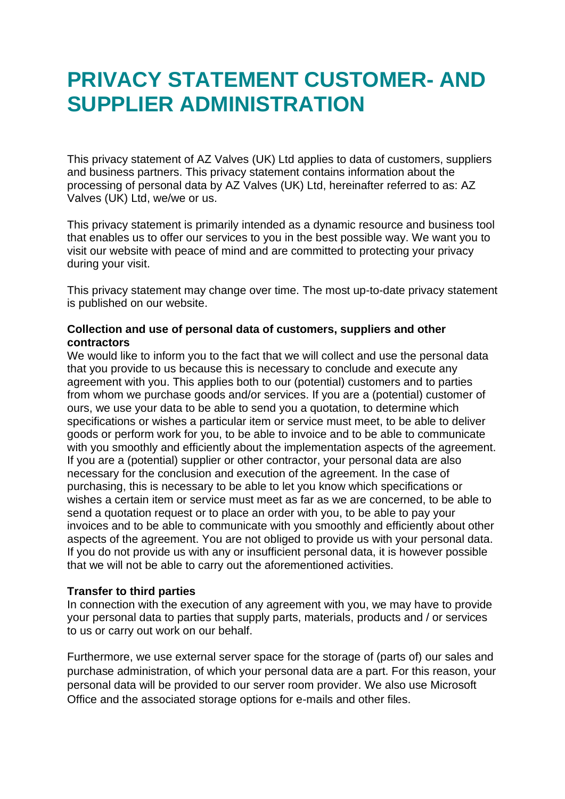# **PRIVACY STATEMENT CUSTOMER- AND SUPPLIER ADMINISTRATION**

This privacy statement of AZ Valves (UK) Ltd applies to data of customers, suppliers and business partners. This privacy statement contains information about the processing of personal data by AZ Valves (UK) Ltd, hereinafter referred to as: AZ Valves (UK) Ltd, we/we or us.

This privacy statement is primarily intended as a dynamic resource and business tool that enables us to offer our services to you in the best possible way. We want you to visit our website with peace of mind and are committed to protecting your privacy during your visit.

This privacy statement may change over time. The most up-to-date privacy statement is published on our website.

## **Collection and use of personal data of customers, suppliers and other contractors**

We would like to inform you to the fact that we will collect and use the personal data that you provide to us because this is necessary to conclude and execute any agreement with you. This applies both to our (potential) customers and to parties from whom we purchase goods and/or services. If you are a (potential) customer of ours, we use your data to be able to send you a quotation, to determine which specifications or wishes a particular item or service must meet, to be able to deliver goods or perform work for you, to be able to invoice and to be able to communicate with you smoothly and efficiently about the implementation aspects of the agreement. If you are a (potential) supplier or other contractor, your personal data are also necessary for the conclusion and execution of the agreement. In the case of purchasing, this is necessary to be able to let you know which specifications or wishes a certain item or service must meet as far as we are concerned, to be able to send a quotation request or to place an order with you, to be able to pay your invoices and to be able to communicate with you smoothly and efficiently about other aspects of the agreement. You are not obliged to provide us with your personal data. If you do not provide us with any or insufficient personal data, it is however possible that we will not be able to carry out the aforementioned activities.

## **Transfer to third parties**

In connection with the execution of any agreement with you, we may have to provide your personal data to parties that supply parts, materials, products and / or services to us or carry out work on our behalf.

Furthermore, we use external server space for the storage of (parts of) our sales and purchase administration, of which your personal data are a part. For this reason, your personal data will be provided to our server room provider. We also use Microsoft Office and the associated storage options for e-mails and other files.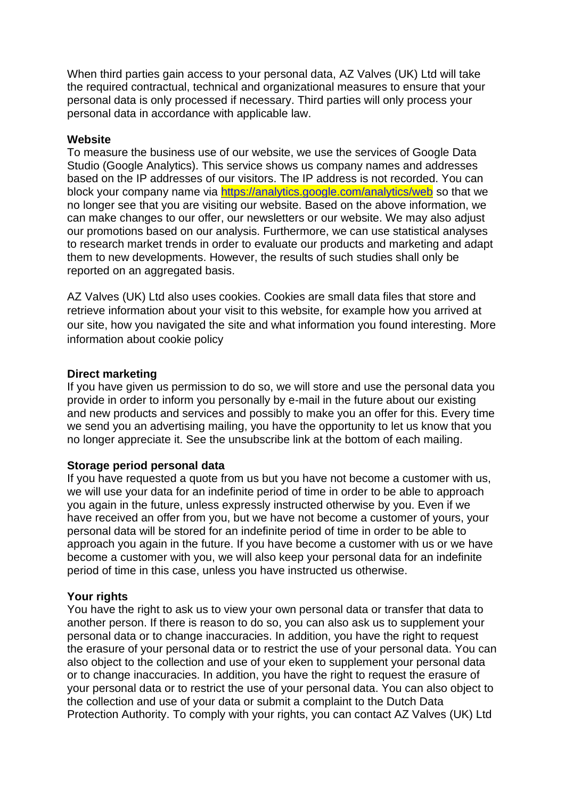When third parties gain access to your personal data, AZ Valves (UK) Ltd will take the required contractual, technical and organizational measures to ensure that your personal data is only processed if necessary. Third parties will only process your personal data in accordance with applicable law.

### **Website**

To measure the business use of our website, we use the services of Google Data Studio (Google Analytics). This service shows us company names and addresses based on the IP addresses of our visitors. The IP address is not recorded. You can block your company name via<https://analytics.google.com/analytics/web> so that we no longer see that you are visiting our website. Based on the above information, we can make changes to our offer, our newsletters or our website. We may also adjust our promotions based on our analysis. Furthermore, we can use statistical analyses to research market trends in order to evaluate our products and marketing and adapt them to new developments. However, the results of such studies shall only be reported on an aggregated basis.

AZ Valves (UK) Ltd also uses cookies. Cookies are small data files that store and retrieve information about your visit to this website, for example how you arrived at our site, how you navigated the site and what information you found interesting. More information about cookie policy

#### **Direct marketing**

If you have given us permission to do so, we will store and use the personal data you provide in order to inform you personally by e-mail in the future about our existing and new products and services and possibly to make you an offer for this. Every time we send you an advertising mailing, you have the opportunity to let us know that you no longer appreciate it. See the unsubscribe link at the bottom of each mailing.

## **Storage period personal data**

If you have requested a quote from us but you have not become a customer with us, we will use your data for an indefinite period of time in order to be able to approach you again in the future, unless expressly instructed otherwise by you. Even if we have received an offer from you, but we have not become a customer of yours, your personal data will be stored for an indefinite period of time in order to be able to approach you again in the future. If you have become a customer with us or we have become a customer with you, we will also keep your personal data for an indefinite period of time in this case, unless you have instructed us otherwise.

## **Your rights**

You have the right to ask us to view your own personal data or transfer that data to another person. If there is reason to do so, you can also ask us to supplement your personal data or to change inaccuracies. In addition, you have the right to request the erasure of your personal data or to restrict the use of your personal data. You can also object to the collection and use of your eken to supplement your personal data or to change inaccuracies. In addition, you have the right to request the erasure of your personal data or to restrict the use of your personal data. You can also object to the collection and use of your data or submit a complaint to the Dutch Data Protection Authority. To comply with your rights, you can contact AZ Valves (UK) Ltd